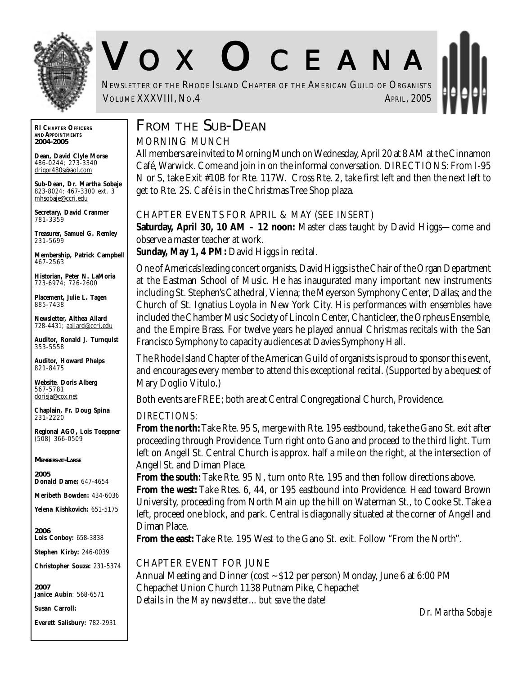

# V O X O CEANA

NEWSLETTER OF THE RHODE ISLAND CHAPTER OF THE AMERICAN GUILD OF ORGANISTS VOLUME XXXVIII, NO.4 APRIL, 2005

**RI CHAPTER OFFICERS AND APPOINTMENTS** *2004-2005*

**Dean, David Clyle Morse** 486-0244; 273-3340 drigor480s@aol.com

**Sub-Dean, Dr. Martha Sobaje** 823-8024; 467-3300 ext. 3 mhsobaje@ccri.edu

**Secretary, David Cranmer** 781-3359

**Treasurer, Samuel G. Remley** 231-5699

**Membership, Patrick Campbell** 467-2563

**Historian, Peter N. LaMoria** 723-6974; 726-2600

**Placement, Julie L. Tagen** 885-7438

**Newsletter, Althea Allard** 728-4431; aallard@ccri.edu

**Auditor, Ronald J. Turnquist** 353-5558

**Auditor, Howard Phelps** 821-8475

**Website**, **Doris Alberg** 567-5781 dorisja@cox.net

**Chaplain, Fr. Doug Spina** 231-2220

**Regional AGO, Lois Toeppner** (508) 366-0509

*MEMBERS-AT-LARGE*

*2005* **Donald Dame:** 647-4654

**Meribeth Bowden:** 434-6036

**Yelena Kishkovich:** 651-5175

*2006* **Lois Conboy:** 658-3838

**Stephen Kirby:** 246-0039

**Christopher Souza:** 231-5374

*2007* **Janice Aubin**: 568-6571

**Susan Carroll:**

**Everett Salisbury:** 782-2931

## **FROM THE SUB-DEAN**

#### MORNING MUNCH

All members are invited to Morning Munch on Wednesday, April 20 at 8 AM at the Cinnamon Café, Warwick. Come and join in on the informal conversation. DIRECTIONS: From I-95 N or S, take Exit #10B for Rte. 117W. Cross Rte. 2, take first left and then the next left to get to Rte. 2S. Café is in the Christmas Tree Shop plaza.

#### CHAPTER EVENTS FOR APRIL & MAY (*SEE INSERT*)

**Saturday, April 30, 10 AM – 12 noon:** Master class taught by David Higgs—come and observe a master teacher at work.

**Sunday, May 1, 4 PM:** David Higgs in recital.

One of America's leading concert organists, David Higgs is the Chair of the Organ Department at the Eastman School of Music. He has inaugurated many important new instruments including St. Stephen's Cathedral, Vienna; the Meyerson Symphony Center, Dallas; and the Church of St. Ignatius Loyola in New York City. His performances with ensembles have included the Chamber Music Society of Lincoln Center, Chanticleer, the Orpheus Ensemble, and the Empire Brass. For twelve years he played annual Christmas recitals with the San Francisco Symphony to capacity audiences at Davies Symphony Hall.

The Rhode Island Chapter of the American Guild of organists is proud to sponsor this event, and encourages every member to attend this exceptional recital. (Supported by a bequest of Mary Doglio Vitulo.)

Both events are FREE; both are at Central Congregational Church, Providence.

#### *DIRECTIONS:*

**From the north:** Take Rte. 95 S, merge with Rte. 195 eastbound, take the Gano St. exit after proceeding through Providence. Turn right onto Gano and proceed to the third light. Turn left on Angell St. Central Church is approx. half a mile on the right, at the intersection of Angell St. and Diman Place.

**From the south:** Take Rte. 95 N, turn onto Rte. 195 and then follow directions above. **From the west:** Take Rtes. 6, 44, or 195 eastbound into Providence. Head toward Brown University, proceeding from North Main up the hill on Waterman St., to Cooke St. Take a left, proceed one block, and park. Central is diagonally situated at the corner of Angell and Diman Place.

**From the east:** Take Rte. 195 West to the Gano St. exit. Follow "From the North".

CHAPTER EVENT FOR JUNE

Annual Meeting and Dinner (cost ~ \$12 per person) Monday, June 6 at 6:00 PM Chepachet Union Church 1138 Putnam Pike, Chepachet *Details in the May newsletter…but save the date!*

*Dr. Martha Sobaje*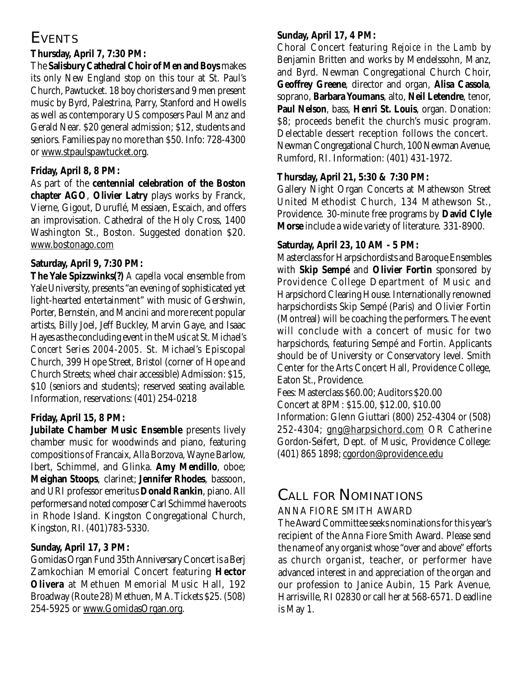## **EVENTS**

#### **Thursday, April 7, 7:30 PM:**

The **Salisbury Cathedral Choir of Men and Boys** makes its only New England stop on this tour at St. Paul's Church, Pawtucket. 18 boy choristers and 9 men present music by Byrd, Palestrina, Parry, Stanford and Howells as well as contemporary US composers Paul Manz and Gerald Near. \$20 general admission; \$12, students and seniors. Families pay no more than \$50. Info: 728-4300 or www.stpaulspawtucket.org.

#### **Friday, April 8, 8 PM:**

As part of the **centennial celebration of the Boston chapter AGO**, **Olivier Latry** plays works by Franck, Vierne, Gigout, Duruflé, Messiaen, Escaich, and offers an improvisation. Cathedral of the Holy Cross, 1400 Washington St., Boston. Suggested donation \$20. www.bostonago.com

#### **Saturday, April 9, 7:30 PM:**

**The Yale Spizzwinks(?)** *A capella* vocal ensemble from Yale University, presents "an evening of sophisticated yet light-hearted entertainment" with music of Gershwin, Porter, Bernstein, and Mancini and more recent popular artists, Billy Joel, Jeff Buckley, Marvin Gaye, and Isaac Hayes as the concluding event in the *Music at St. Michael's Concert Series 2004-2005*. St. Michael's Episcopal Church, 399 Hope Street, Bristol (corner of Hope and Church Streets; wheel chair accessible) Admission: \$15, \$10 (seniors and students); reserved seating available. Information, reservations: (401) 254-0218

#### **Friday, April 15, 8 PM:**

**Jubilate Chamber Music Ensemble** presents lively chamber music for woodwinds and piano, featuring compositions of Francaix, Alla Borzova, Wayne Barlow, Ibert, Schimmel, and Glinka. **Amy Mendillo**, oboe; **Meighan Stoops**, clarinet; **Jennifer Rhodes**, bassoon, and URI professor emeritus **Donald Rankin**, piano. All performers and noted composer Carl Schimmel have roots in Rhode Island. Kingston Congregational Church, Kingston, RI. (401)783-5330.

#### **Sunday, April 17, 3 PM:**

Gomidas Organ Fund 35th Anniversary Concert is a Berj Zamkochian Memorial Concert featuring **Hector Olivera** at Methuen Memorial Music Hall, 192 Broadway (Route 28) Methuen, MA. Tickets \$25. (508) 254-5925 or www.GomidasOrgan.org.

#### **Sunday, April 17, 4 PM:**

Choral Concert featuring *Rejoice in the Lamb* by Benjamin Britten and works by Mendelssohn, Manz, and Byrd. Newman Congregational Church Choir, **Geoffrey Greene**, director and organ, **Alisa Cassola**, soprano, **Barbara Youmans**, alto, **Neil Letendre**, tenor, **Paul Nelson**, bass, **Henri St. Louis**, organ. Donation: \$8; proceeds benefit the church's music program. Delectable dessert reception follows the concert. Newman Congregational Church, 100 Newman Avenue, Rumford, RI. Information: (401) 431-1972.

#### **Thursday, April 21, 5:30 & 7:30 PM:**

Gallery Night Organ Concerts at Mathewson Street United Methodist Church, 134 Mathewson St., Providence. 30-minute free programs by **David Clyle Morse** include a wide variety of literature. 331-8900.

#### **Saturday, April 23, 10 AM - 5 PM:**

Masterclass for Harpsichordists and Baroque Ensembles with **Skip Sempé** and **Olivier Fortin** sponsored by Providence College Department of Music and Harpsichord Clearing House. Internationally renowned harpsichordists Skip Sempé (Paris) and Olivier Fortin (Montreal) will be coaching the performers. The event will conclude with a concert of music for two harpsichords, featuring Sempé and Fortin. Applicants should be of University or Conservatory level. Smith Center for the Arts Concert Hall, Providence College, Eaton St., Providence.

Fees: Masterclass \$60.00; Auditors \$20.00

Concert at 8PM: \$15.00, \$12.00, \$10.00

Information: Glenn Giuttari (800) 252-4304 or (508) 252-4304; gng@harpsichord.com OR Catherine Gordon-Seifert, Dept. of Music, Providence College: (401) 865 1898; cgordon@providence.edu

# **CALL FOR NOMINATIONS**

#### ANNA FIORE SMITH AWARD

The Award Committee seeks nominations for this year's recipient of the Anna Fiore Smith Award. Please send the name of any organist whose "over and above" efforts as church organist, teacher, or performer have advanced interest in and appreciation of the organ and our profession to Janice Aubin, 15 Park Avenue, Harrisville, RI 02830 or call her at 568-6571. Deadline is May 1.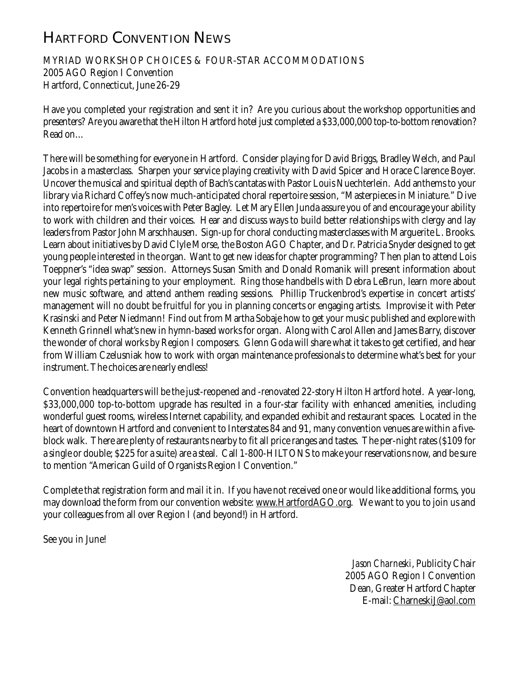# **HARTFORD CONVENTION NEWS**

MYRIAD WORKSHOP CHOICES & FOUR-STAR ACCOMMODATIONS 2005 AGO Region I Convention Hartford, Connecticut, June 26-29

Have you completed your registration and sent it in? Are you curious about the workshop opportunities and presenters? Are you aware that the Hilton Hartford hotel just completed a \$33,000,000 top-to-bottom renovation? Read on…

There will be something for everyone in Hartford. Consider playing for David Briggs, Bradley Welch, and Paul Jacobs in a masterclass. Sharpen your service playing creativity with David Spicer and Horace Clarence Boyer. Uncover the musical and spiritual depth of Bach's cantatas with Pastor Louis Nuechterlein. Add anthems to your library via Richard Coffey's now much-anticipated choral repertoire session, "Masterpieces in Miniature." Dive into repertoire for men's voices with Peter Bagley. Let Mary Ellen Junda assure you of and encourage your ability to work with children and their voices. Hear and discuss ways to build better relationships with clergy and lay leaders from Pastor John Marschhausen. Sign-up for choral conducting masterclasses with Marguerite L. Brooks. Learn about initiatives by David Clyle Morse, the Boston AGO Chapter, and Dr. Patricia Snyder designed to get young people interested in the organ. Want to get new ideas for chapter programming? Then plan to attend Lois Toeppner's "idea swap" session. Attorneys Susan Smith and Donald Romanik will present information about your legal rights pertaining to your employment. Ring those handbells with Debra LeBrun, learn more about new music software, and attend anthem reading sessions. Phillip Truckenbrod's expertise in concert artists' management will no doubt be fruitful for you in planning concerts or engaging artists. Improvise it with Peter Krasinski and Peter Niedmann! Find out from Martha Sobaje how to get your music published and explore with Kenneth Grinnell what's new in hymn-based works for organ. Along with Carol Allen and James Barry, discover the wonder of choral works by Region I composers. Glenn Goda will share what it takes to get certified, and hear from William Czelusniak how to work with organ maintenance professionals to determine what's best for your instrument. The choices are nearly endless!

Convention headquarters will be the just-reopened and -renovated 22-story Hilton Hartford hotel. A year-long, \$33,000,000 top-to-bottom upgrade has resulted in a four-star facility with enhanced amenities, including wonderful guest rooms, wireless Internet capability, and expanded exhibit and restaurant spaces. Located in the heart of downtown Hartford and convenient to Interstates 84 and 91, many convention venues are within a fiveblock walk. There are plenty of restaurants nearby to fit all price ranges and tastes. The per-night rates (\$109 for a single or double; \$225 for a suite) are a steal. Call 1-800-HILTONS to make your reservations now, and be sure to mention "American Guild of Organists Region I Convention."

Complete that registration form and mail it in. If you have not received one or would like additional forms, you may download the form from our convention website: www.HartfordAGO.org. We want to you to join us and your colleagues from all over Region I (and beyond!) in Hartford.

See you in June!

*Jason Charneski*, Publicity Chair 2005 AGO Region I Convention Dean, Greater Hartford Chapter E-mail: CharneskiJ@aol.com